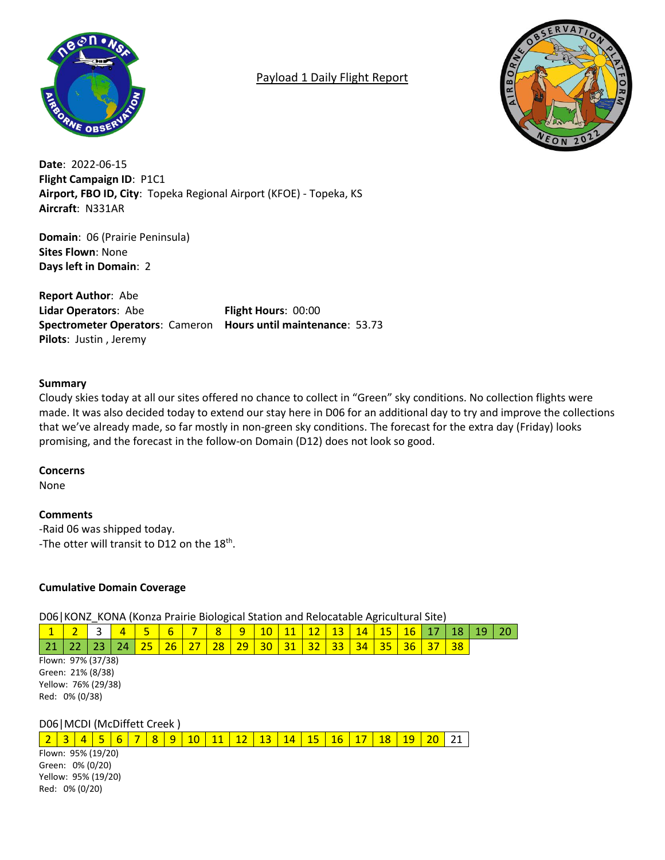

# Payload 1 Daily Flight Report



**Date**: 2022-06-15 **Flight Campaign ID**: P1C1 **Airport, FBO ID, City**: Topeka Regional Airport (KFOE) - Topeka, KS **Aircraft**: N331AR

**Domain**: 06 (Prairie Peninsula) **Sites Flown**: None **Days left in Domain**: 2

**Report Author**: Abe **Lidar Operators**: Abe **Flight Hours**: 00:00 **Spectrometer Operators**: Cameron **Hours until maintenance**: 53.73 **Pilots**: Justin , Jeremy

## **Summary**

Cloudy skies today at all our sites offered no chance to collect in "Green" sky conditions. No collection flights were made. It was also decided today to extend our stay here in D06 for an additional day to try and improve the collections that we've already made, so far mostly in non-green sky conditions. The forecast for the extra day (Friday) looks promising, and the forecast in the follow-on Domain (D12) does not look so good.

## **Concerns**

None

## **Comments**

-Raid 06 was shipped today. -The otter will transit to D12 on the  $18<sup>th</sup>$ .

## **Cumulative Domain Coverage**

D06|KONZ\_KONA (Konza Prairie Biological Station and Relocatable Agricultural Site)

|                     | 1  |    |    |    |    | 6  |    | 8  | 9  | 10 |    | 12 | 13 | 14 | 15 | 16 | 18 | 19 | 20 |
|---------------------|----|----|----|----|----|----|----|----|----|----|----|----|----|----|----|----|----|----|----|
|                     | 21 | 22 | 23 | 24 | 25 | 26 | 27 | 28 | 29 | 30 | 31 | 32 | 33 | 34 | 35 | 36 | 38 |    |    |
| Flown: 97% (37/38)  |    |    |    |    |    |    |    |    |    |    |    |    |    |    |    |    |    |    |    |
| Green: 21% (8/38)   |    |    |    |    |    |    |    |    |    |    |    |    |    |    |    |    |    |    |    |
| Yellow: 76% (29/38) |    |    |    |    |    |    |    |    |    |    |    |    |    |    |    |    |    |    |    |
| Red: 0% (0/38)      |    |    |    |    |    |    |    |    |    |    |    |    |    |    |    |    |    |    |    |
|                     |    |    |    |    |    |    |    |    |    |    |    |    |    |    |    |    |    |    |    |
|                     |    |    |    |    |    |    |    |    |    |    |    |    |    |    |    |    |    |    |    |

D06|MCDI (McDiffett Creek )

2 3 4 5 6 7 8 9 10 11 12 13 14 15 16 17 18 19 20 21

Flown: 95% (19/20) Green: 0% (0/20) Yellow: 95% (19/20) Red: 0% (0/20)